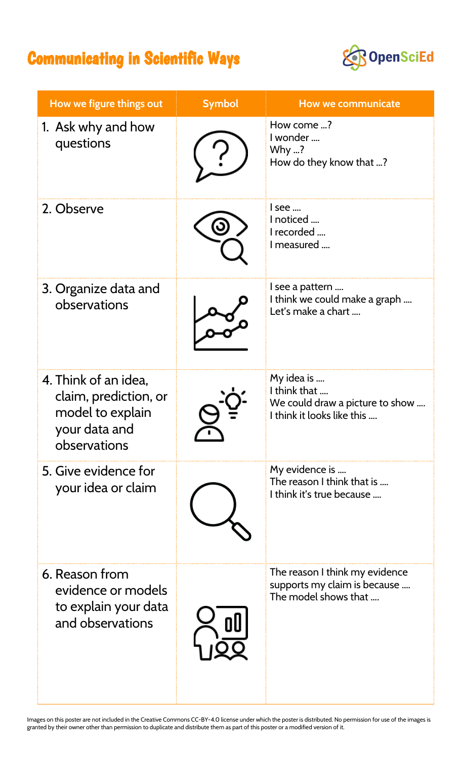## Communicating in Scientific Ways



| How we figure things out                                                                           | <b>Symbol</b> | <b>How we communicate</b>                                                                   |
|----------------------------------------------------------------------------------------------------|---------------|---------------------------------------------------------------------------------------------|
| 1. Ask why and how<br>questions                                                                    |               | How come ?<br>I wonder<br>Why ?<br>How do they know that ?                                  |
| 2. Observe                                                                                         |               | l see<br>noticed<br>I recorded<br>I measured                                                |
| 3. Organize data and<br>observations                                                               |               | l see a pattern<br>I think we could make a graph<br>Let's make a chart                      |
| 4. Think of an idea,<br>claim, prediction, or<br>model to explain<br>your data and<br>observations |               | My idea is<br>I think that<br>We could draw a picture to show<br>I think it looks like this |
| 5. Give evidence for<br>your idea or claim                                                         |               | My evidence is<br>The reason I think that is<br>I think it's true because                   |
| 6. Reason from<br>evidence or models<br>to explain your data<br>and observations                   |               | The reason I think my evidence<br>supports my claim is because<br>The model shows that      |

Images on this poster are not included in the Creative Commons CC-BY-4.0 license under which the poster is distributed. No permission for use of the images is granted by their owner other than permission to duplicate and distribute them as part of this poster or a modified version of it.